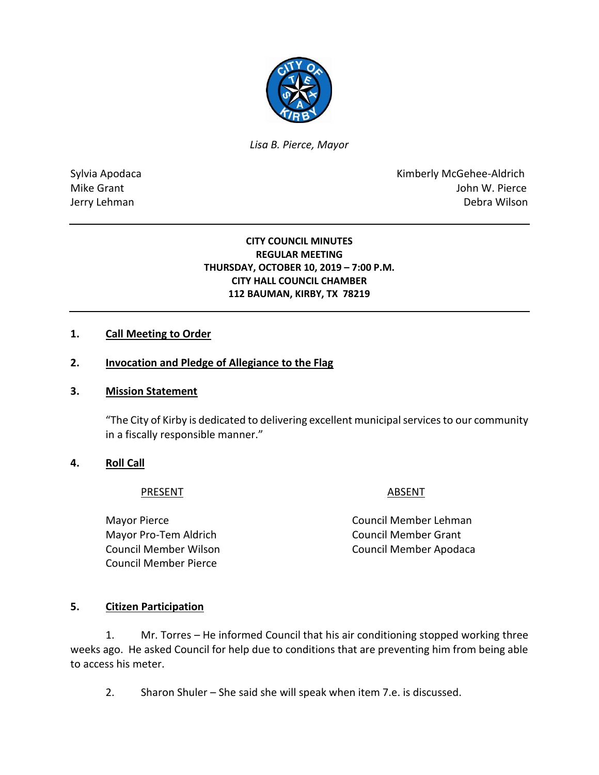

*Lisa B. Pierce, Mayor* 

Sylvia Apodaca **Kimberly McGehee-Aldrich** Mike Grant **Mike Grant** John W. Pierce Jerry Lehman Debra Wilson

## **CITY COUNCIL MINUTES REGULAR MEETING THURSDAY, OCTOBER 10, 2019 – 7:00 P.M. CITY HALL COUNCIL CHAMBER 112 BAUMAN, KIRBY, TX 78219**

## **1. Call Meeting to Order**

## **2. Invocation and Pledge of Allegiance to the Flag**

#### **3. Mission Statement**

"The City of Kirby is dedicated to delivering excellent municipal services to our community in a fiscally responsible manner."

## **4. Roll Call**

#### PRESENT ABSENT

Mayor Pro-Tem Aldrich Council Member Grant Council Member Pierce

Mayor Pierce **Council Member Lehman** Council Member Wilson Council Member Apodaca

## **5. Citizen Participation**

1. Mr. Torres – He informed Council that his air conditioning stopped working three weeks ago. He asked Council for help due to conditions that are preventing him from being able to access his meter.

2. Sharon Shuler – She said she will speak when item 7.e. is discussed.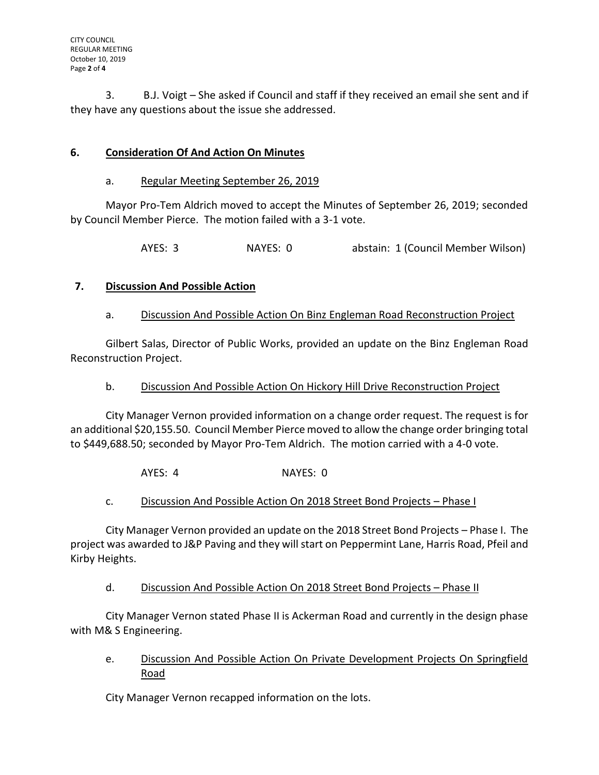3. B.J. Voigt – She asked if Council and staff if they received an email she sent and if they have any questions about the issue she addressed.

# **6. Consideration Of And Action On Minutes**

## a. Regular Meeting September 26, 2019

Mayor Pro-Tem Aldrich moved to accept the Minutes of September 26, 2019; seconded by Council Member Pierce. The motion failed with a 3-1 vote.

AYES: 3 NAYES: 0 abstain: 1 (Council Member Wilson)

# **7. Discussion And Possible Action**

# a. Discussion And Possible Action On Binz Engleman Road Reconstruction Project

Gilbert Salas, Director of Public Works, provided an update on the Binz Engleman Road Reconstruction Project.

## b. Discussion And Possible Action On Hickory Hill Drive Reconstruction Project

City Manager Vernon provided information on a change order request. The request is for an additional \$20,155.50. Council Member Pierce moved to allow the change order bringing total to \$449,688.50; seconded by Mayor Pro-Tem Aldrich. The motion carried with a 4-0 vote.

AYES: 4 NAYES: 0

# c. Discussion And Possible Action On 2018 Street Bond Projects – Phase I

City Manager Vernon provided an update on the 2018 Street Bond Projects – Phase I. The project was awarded to J&P Paving and they will start on Peppermint Lane, Harris Road, Pfeil and Kirby Heights.

d. Discussion And Possible Action On 2018 Street Bond Projects – Phase II

City Manager Vernon stated Phase II is Ackerman Road and currently in the design phase with M& S Engineering.

e. Discussion And Possible Action On Private Development Projects On Springfield Road

City Manager Vernon recapped information on the lots.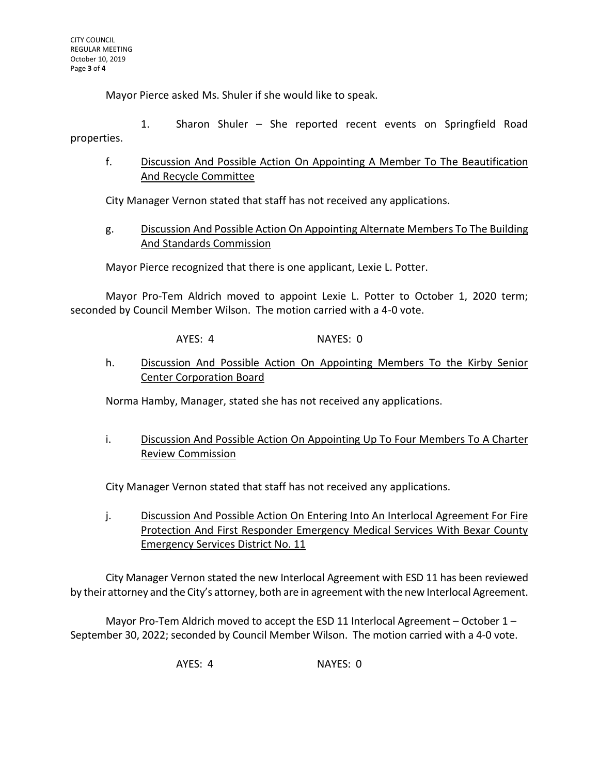Mayor Pierce asked Ms. Shuler if she would like to speak.

1. Sharon Shuler – She reported recent events on Springfield Road properties.

f. Discussion And Possible Action On Appointing A Member To The Beautification And Recycle Committee

City Manager Vernon stated that staff has not received any applications.

g. Discussion And Possible Action On Appointing Alternate Members To The Building And Standards Commission

Mayor Pierce recognized that there is one applicant, Lexie L. Potter.

Mayor Pro-Tem Aldrich moved to appoint Lexie L. Potter to October 1, 2020 term; seconded by Council Member Wilson. The motion carried with a 4-0 vote.

AYES: 4 NAYES: 0

h. Discussion And Possible Action On Appointing Members To the Kirby Senior Center Corporation Board

Norma Hamby, Manager, stated she has not received any applications.

i. Discussion And Possible Action On Appointing Up To Four Members To A Charter Review Commission

City Manager Vernon stated that staff has not received any applications.

j. Discussion And Possible Action On Entering Into An Interlocal Agreement For Fire Protection And First Responder Emergency Medical Services With Bexar County Emergency Services District No. 11

City Manager Vernon stated the new Interlocal Agreement with ESD 11 has been reviewed by their attorney and the City's attorney, both are in agreement with the new Interlocal Agreement.

Mayor Pro-Tem Aldrich moved to accept the ESD 11 Interlocal Agreement – October 1 – September 30, 2022; seconded by Council Member Wilson. The motion carried with a 4-0 vote.

AYES: 4 NAYES: 0